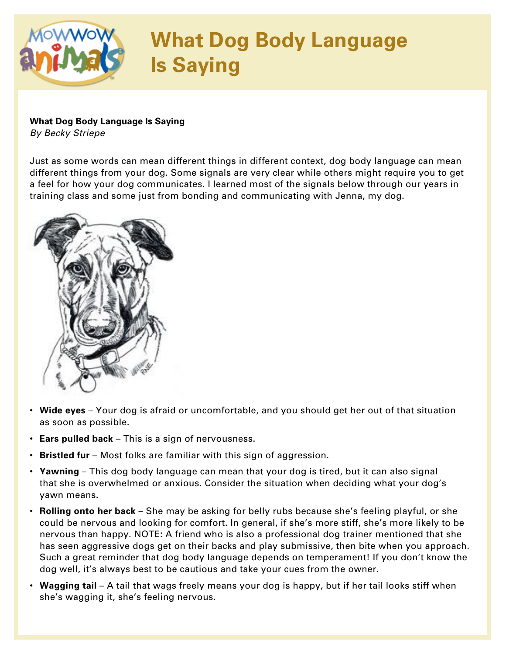

## **What Dog Body Language Is Saying**

*By Becky Striepe*

Just as some words can mean different things in different context, dog body language can mean different things from your dog. Some signals are very clear while others might require you to get a feel for how your dog communicates. I learned most of the signals below through our years in training class and some just from bonding and communicating with Jenna, my dog.



- **Wide eyes** Your dog is afraid or uncomfortable, and you should get her out of that situation as soon as possible.
- **Ears pulled back** This is a sign of nervousness.
- **Bristled fur** Most folks are familiar with this sign of aggression.
- **Yawning** This dog body language can mean that your dog is tired, but it can also signal that she is overwhelmed or anxious. Consider the situation when deciding what your dog's yawn means.
- **Rolling onto her back** She may be asking for belly rubs because she's feeling playful, or she could be nervous and looking for comfort. In general, if she's more stiff, she's more likely to be nervous than happy. NOTE: A friend who is also a professional dog trainer mentioned that she has seen aggressive dogs get on their backs and play submissive, then bite when you approach. Such a great reminder that dog body language depends on temperament! If you don't know the dog well, it's always best to be cautious and take your cues from the owner.
- **Wagging tail** A tail that wags freely means your dog is happy, but if her tail looks stiff when she's wagging it, she's feeling nervous.